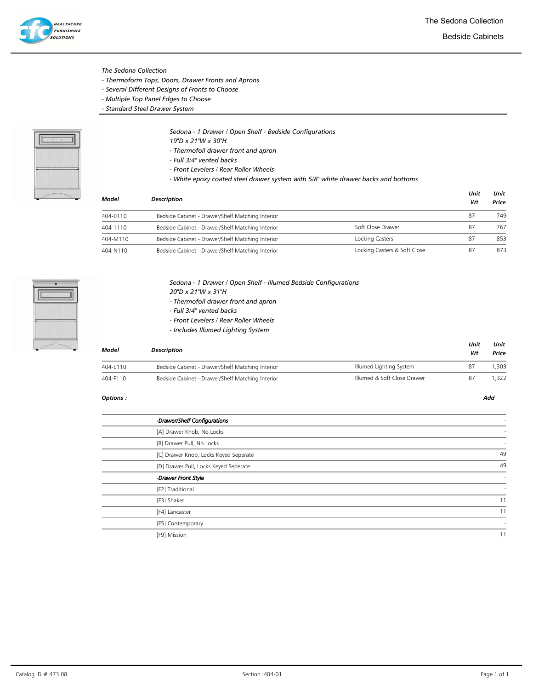Bedside Cabinets

- The Sedona Collection
- Thermoform Tops, Doors, Drawer Fronts and Aprons
- Several Different Designs of Fronts to Choose
- Multiple Top Panel Edges to Choose
- Standard Steel Drawer System



- Sedona 1 Drawer / Open Shelf Bedside Configurations
- 19"D x 21"W x 30"H
- Thermofoil drawer front and apron
- Full 3/4" vented backs
- Front Levelers / Rear Roller Wheels
- White epoxy coated steel drawer system with 5/8" white drawer backs and bottoms

| <b>Model</b> | <b>Description</b>                               |                              | Unit<br>Wt | Unit<br>Price |  |
|--------------|--------------------------------------------------|------------------------------|------------|---------------|--|
| 404-0110     | Bedside Cabinet - Drawer/Shelf Matching Interior |                              | 87         | 749           |  |
| 404-1110     | Bedside Cabinet - Drawer/Shelf Matching Interior | Soft Close Drawer            | 87         | 767           |  |
| 404-M110     | Bedside Cabinet - Drawer/Shelf Matching Interior | Locking Casters              | 87         | 853           |  |
| 404-N110     | Bedside Cabinet - Drawer/Shelf Matching Interior | Locking Casters & Soft Close | 87         | 873           |  |



Sedona - 1 Drawer / Open Shelf - Illumed Bedside Configurations 20"D x 21"W x 31"H - Thermofoil drawer front and apron

- Full 3/4" vented backs
- Front Levelers / Rear Roller Wheels
- Includes Illumed Lighting System

| Model    | <b>Description</b>                               |                             | Unit<br>Wt | Unit<br>Price |
|----------|--------------------------------------------------|-----------------------------|------------|---------------|
| 404-E110 | Bedside Cabinet - Drawer/Shelf Matching Interior | Illumed Lighting System     | 87         | .303          |
| 404-F110 | Bedside Cabinet - Drawer/Shelf Matching Interior | Illumed & Soft Close Drawer | 87         | 1.322         |

| -Drawer/Shelf Configurations          |    |
|---------------------------------------|----|
| [A] Drawer Knob, No Locks             |    |
| [B] Drawer Pull, No Locks             |    |
| [C] Drawer Knob, Locks Keyed Seperate | 49 |
| [D] Drawer Pull, Locks Keyed Seperate | 49 |
| Drawer Front Style                    | ٠  |
| [F2] Traditional                      |    |
| [F3] Shaker                           | 11 |
| [F4] Lancaster                        | 11 |
| [F5] Contemporary                     |    |
| [F9] Mission                          | 11 |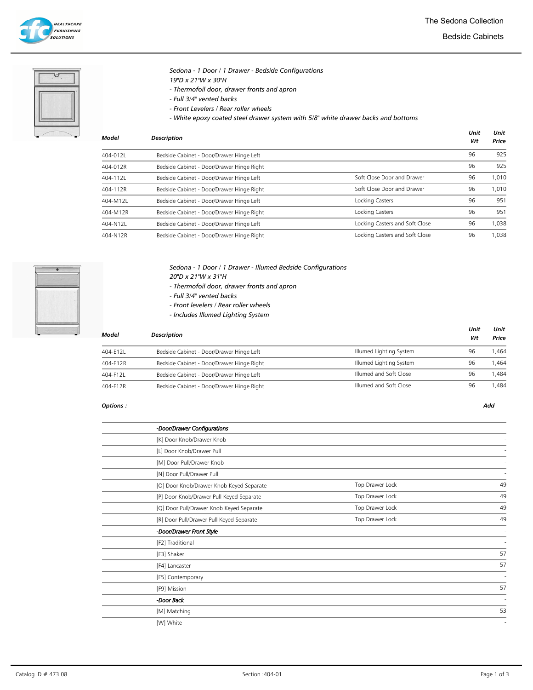

Bedside Cabinets

### Sedona - 1 Door / 1 Drawer - Bedside Configurations 19"D x 21"W x 30"H

- Thermofoil door, drawer fronts and apron
- Full 3/4" vented backs
- Front Levelers / Rear roller wheels
- White epoxy coated steel drawer system with 5/8" white drawer backs and bottoms

| Model    | <b>Description</b>                        |                                | Unit<br>Wt | Unit<br>Price |
|----------|-------------------------------------------|--------------------------------|------------|---------------|
| 404-012L | Bedside Cabinet - Door/Drawer Hinge Left  |                                | 96         | 925           |
| 404-012R | Bedside Cabinet - Door/Drawer Hinge Right |                                | 96         | 925           |
| 404-112L | Bedside Cabinet - Door/Drawer Hinge Left  | Soft Close Door and Drawer     | 96         | 1,010         |
| 404-112R | Bedside Cabinet - Door/Drawer Hinge Right | Soft Close Door and Drawer     | 96         | 1,010         |
| 404-M12L | Bedside Cabinet - Door/Drawer Hinge Left  | Locking Casters                | 96         | 951           |
| 404-M12R | Bedside Cabinet - Door/Drawer Hinge Right | Locking Casters                | 96         | 951           |
| 404-N12L | Bedside Cabinet - Door/Drawer Hinge Left  | Locking Casters and Soft Close | 96         | 1,038         |
| 404-N12R | Bedside Cabinet - Door/Drawer Hinge Right | Locking Casters and Soft Close | 96         | 1,038         |



### Sedona - 1 Door / 1 Drawer - Illumed Bedside Configurations 20"D x 21"W x 31"H

- Thermofoil door, drawer fronts and apron
- Full 3/4" vented backs
- Front levelers / Rear roller wheels
- Includes Illumed Lighting System

| Model    | <b>Description</b>                        |                         | Unit<br>Wt | Unit<br>Price |
|----------|-------------------------------------------|-------------------------|------------|---------------|
| 404-E12L | Bedside Cabinet - Door/Drawer Hinge Left  | Illumed Lighting System | 96         | '.464         |
| 404-E12R | Bedside Cabinet - Door/Drawer Hinge Right | Illumed Lighting System | 96         | 1.464         |
| 404-F12L | Bedside Cabinet - Door/Drawer Hinge Left  | Illumed and Soft Close  | 96         | 1.484         |
| 404-F12R | Bedside Cabinet - Door/Drawer Hinge Right | Illumed and Soft Close  | 96         | .484          |

| -Door/Drawer Configurations              |                 |    |
|------------------------------------------|-----------------|----|
| [K] Door Knob/Drawer Knob                |                 |    |
| [L] Door Knob/Drawer Pull                |                 |    |
| [M] Door Pull/Drawer Knob                |                 |    |
| [N] Door Pull/Drawer Pull                |                 |    |
| [O] Door Knob/Drawer Knob Keyed Separate | Top Drawer Lock | 49 |
| [P] Door Knob/Drawer Pull Keyed Separate | Top Drawer Lock | 49 |
| [Q] Door Pull/Drawer Knob Keyed Separate | Top Drawer Lock | 49 |
| [R] Door Pull/Drawer Pull Keyed Separate | Top Drawer Lock | 49 |
| -Door/Drawer Front Style                 |                 |    |
| [F2] Traditional                         |                 |    |
| [F3] Shaker                              |                 | 57 |
| [F4] Lancaster                           |                 | 57 |
| [F5] Contemporary                        |                 |    |
| [F9] Mission                             |                 | 57 |
| -Door Back                               |                 |    |
| [M] Matching                             |                 | 53 |
| [W] White                                |                 |    |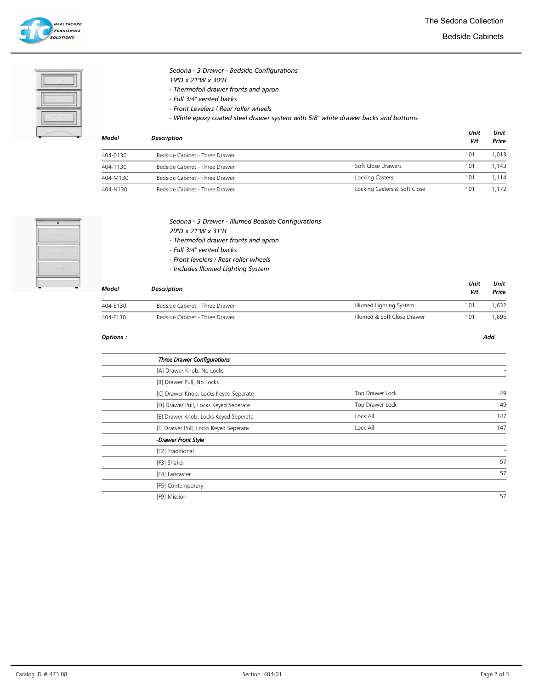

Bedside Cabinets

Sedona - 3 Drawer - Bedside Configurations 19"D x 21"W x 30"H

- Thermofoil drawer fronts and apron

- Full 3/4" vented backs

- Front Levelers / Rear roller wheels

- White epoxy coated steel drawer system with 5/8" white drawer backs and bottoms

| Model    | <b>Description</b>             |                              | Unit<br>Wt | Unit<br>Price |
|----------|--------------------------------|------------------------------|------------|---------------|
| 404-0130 | Bedside Cabinet - Three Drawer |                              | 101        | 1.013         |
| 404-1130 | Bedside Cabinet - Three Drawer | Soft Close Drawers           | 101        | 1.143         |
| 404-M130 | Bedside Cabinet - Three Drawer | Locking Casters              | 101        | 1.114         |
| 404-N130 | Bedside Cabinet - Three Drawer | Locking Casters & Soft Close | 101        | 1.172         |



|  |  | Sedona - 3 Drawer - Illumed Bedside Configurations |
|--|--|----------------------------------------------------|
|  |  |                                                    |

20"D x 21"W x 31"H

- Thermofoil drawer fronts and apron
- Full 3/4" vented backs
- Front levelers / Rear roller wheels
- Includes Illumed Lighting System

| Model    | <b>Description</b>             |                             | Unit<br>Wt | Unit<br>Price |
|----------|--------------------------------|-----------------------------|------------|---------------|
| 404-E130 | Bedside Cabinet - Three Drawer | Illumed Lighting System     | 101        | .632          |
| 404-F130 | Bedside Cabinet - Three Drawer | Illumed & Soft Close Drawer | 101        | .695          |

| -Three Drawer Configurations          |                 |     |
|---------------------------------------|-----------------|-----|
| [A] Drawer Knob, No Locks             |                 |     |
| [B] Drawer Pull, No Locks             |                 |     |
| [C] Drawer Knob, Locks Keyed Seperate | Top Drawer Lock | 49  |
| [D] Drawer Pull, Locks Keyed Seperate | Top Drawer Lock | 49  |
| [E] Drawer Knob, Locks Keyed Seperate | Lock All        | 147 |
| [F] Drawer Pull, Locks Keyed Seperate | Lock All        | 147 |
| -Drawer Front Style                   |                 | ł,  |
| [F2] Traditional                      |                 |     |
| [F3] Shaker                           |                 | 57  |
| [F4] Lancaster                        |                 | 57  |
| [F5] Contemporary                     |                 |     |
| [F9] Mission                          |                 | 57  |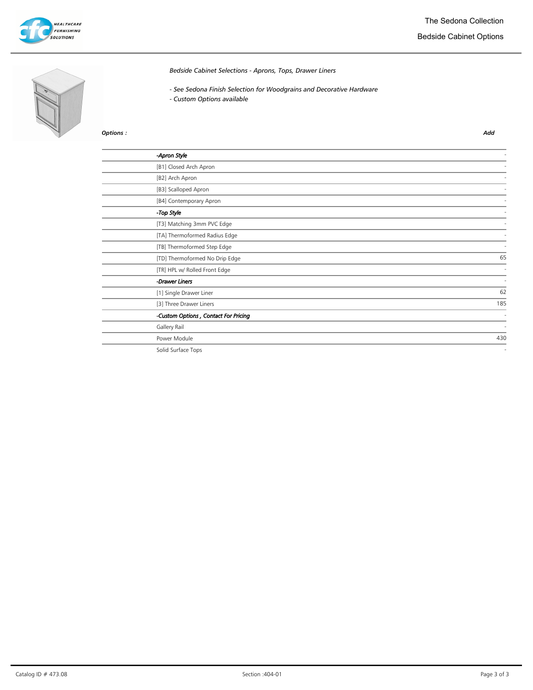

# Bedside Cabinet Options



## Bedside Cabinet Selections - Aprons, Tops, Drawer Liners

- See Sedona Finish Selection for Woodgrains and Decorative Hardware
- Custom Options available

| -Apron Style                         |     |
|--------------------------------------|-----|
| [B1] Closed Arch Apron               |     |
| [B2] Arch Apron                      |     |
| [B3] Scalloped Apron                 |     |
| [B4] Contemporary Apron              |     |
| -Top Style                           |     |
| [T3] Matching 3mm PVC Edge           |     |
| [TA] Thermoformed Radius Edge        |     |
| [TB] Thermoformed Step Edge          |     |
| [TD] Thermoformed No Drip Edge       | 65  |
| [TR] HPL w/ Rolled Front Edge        |     |
| -Drawer Liners                       |     |
| [1] Single Drawer Liner              | 62  |
| [3] Three Drawer Liners              | 185 |
| -Custom Options, Contact For Pricing |     |
| Gallery Rail                         | ٠   |
| Power Module                         | 430 |
| Solid Surface Tops                   | ٠   |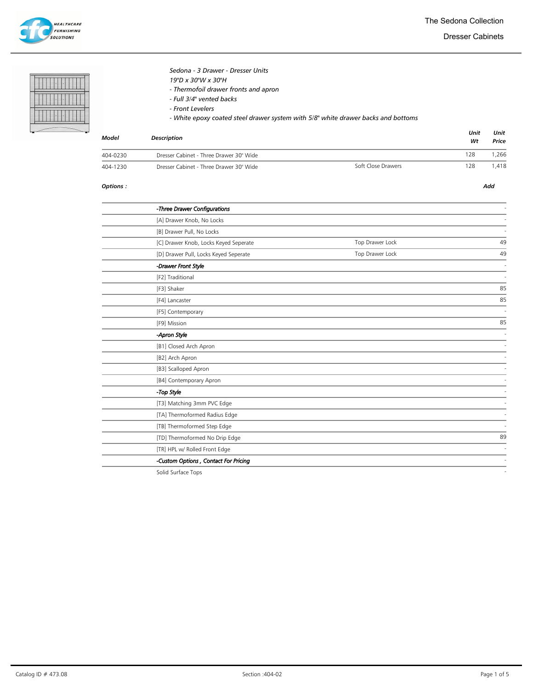**HEALTHCARE FURNISHING** .<br>solutions

Dresser Cabinets

# Sedona - 3 Drawer - Dresser Units

19"D x 30"W x 30"H

- Thermofoil drawer fronts and apron
- Full 3/4" vented backs
- Front Levelers
- White epoxy coated steel drawer system with 5/8" white drawer backs and bottoms

| Model    | <b>Description</b>                      | Unit<br>Wt         | Unit<br>Price |      |
|----------|-----------------------------------------|--------------------|---------------|------|
| 404-0230 | Dresser Cabinet - Three Drawer 30" Wide |                    | 128           | .266 |
| 404-1230 | Dresser Cabinet - Three Drawer 30" Wide | Soft Close Drawers | 128           | .418 |

### Options : Add

| -Three Drawer Configurations                                                                          |                 |    |
|-------------------------------------------------------------------------------------------------------|-----------------|----|
| [A] Drawer Knob, No Locks                                                                             |                 |    |
| [B] Drawer Pull, No Locks                                                                             |                 |    |
| [C] Drawer Knob, Locks Keyed Seperate                                                                 | Top Drawer Lock | 49 |
| [D] Drawer Pull, Locks Keyed Seperate                                                                 | Top Drawer Lock | 49 |
| -Drawer Front Style                                                                                   |                 |    |
| [F2] Traditional                                                                                      |                 |    |
| [F3] Shaker                                                                                           |                 | 85 |
| [F4] Lancaster                                                                                        |                 | 85 |
| [F5] Contemporary                                                                                     |                 |    |
| [F9] Mission                                                                                          |                 | 85 |
| -Apron Style                                                                                          |                 |    |
| [B1] Closed Arch Apron                                                                                |                 |    |
| [B2] Arch Apron                                                                                       |                 |    |
| [B3] Scalloped Apron                                                                                  |                 |    |
| [B4] Contemporary Apron                                                                               |                 |    |
| -Top Style                                                                                            |                 |    |
| [T3] Matching 3mm PVC Edge                                                                            |                 |    |
| [TA] Thermoformed Radius Edge                                                                         |                 |    |
| [TB] Thermoformed Step Edge                                                                           |                 |    |
| [TD] Thermoformed No Drip Edge                                                                        |                 | 89 |
| [TR] HPL w/ Rolled Front Edge                                                                         |                 |    |
| -Custom Options, Contact For Pricing                                                                  |                 |    |
| $\mathcal{C}$ . If $\mathcal{A}$ is $\mathcal{C}$ is a set of $\mathcal{C}$ is a set of $\mathcal{C}$ |                 |    |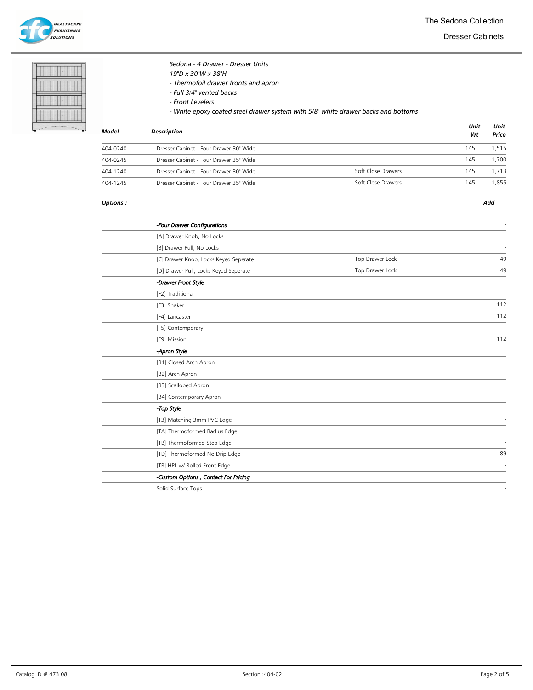

Dresser Cabinets

# Sedona - 4 Drawer - Dresser Units

19"D x 30"W x 38"H

- Thermofoil drawer fronts and apron
- Full 3/4" vented backs
- Front Levelers
- White epoxy coated steel drawer system with 5/8" white drawer backs and bottoms

| Model    | <b>Description</b>                     |                    | Unit<br>Wt | Unit<br>Price |
|----------|----------------------------------------|--------------------|------------|---------------|
| 404-0240 | Dresser Cabinet - Four Drawer 30" Wide |                    | 145        | 1.515         |
| 404-0245 | Dresser Cabinet - Four Drawer 35" Wide |                    | 145        | 1.700         |
| 404-1240 | Dresser Cabinet - Four Drawer 30" Wide | Soft Close Drawers | 145        | 1.713         |
| 404-1245 | Dresser Cabinet - Four Drawer 35" Wide | Soft Close Drawers | 145        | .855          |

### Options : Add

| -Four Drawer Configurations           |                 |     |
|---------------------------------------|-----------------|-----|
| [A] Drawer Knob, No Locks             |                 |     |
| [B] Drawer Pull, No Locks             |                 |     |
| [C] Drawer Knob, Locks Keyed Seperate | Top Drawer Lock | 49  |
| [D] Drawer Pull, Locks Keyed Seperate | Top Drawer Lock | 49  |
| -Drawer Front Style                   |                 |     |
| [F2] Traditional                      |                 |     |
| [F3] Shaker                           |                 | 112 |
| [F4] Lancaster                        |                 | 112 |
| [F5] Contemporary                     |                 |     |
| [F9] Mission                          |                 | 112 |
| -Apron Style                          |                 |     |
| [B1] Closed Arch Apron                |                 |     |
| [B2] Arch Apron                       |                 |     |
| [B3] Scalloped Apron                  |                 |     |
| [B4] Contemporary Apron               |                 |     |
| -Top Style                            |                 |     |
| [T3] Matching 3mm PVC Edge            |                 |     |
| [TA] Thermoformed Radius Edge         |                 |     |
| [TB] Thermoformed Step Edge           |                 |     |
| [TD] Thermoformed No Drip Edge        |                 | 89  |
| [TR] HPL w/ Rolled Front Edge         |                 |     |
| -Custom Options, Contact For Pricing  |                 |     |
| Callel Conferent Track                |                 |     |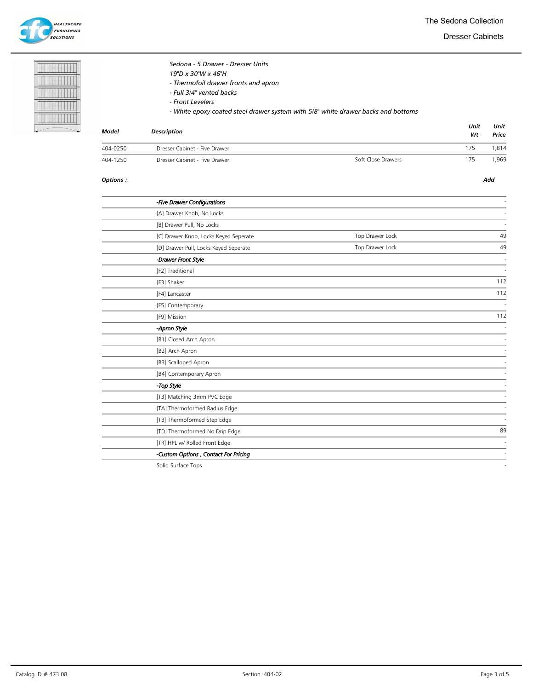

Dresser Cabinets

Unit

Unit



|       | Sedona - 5 Drawer - Dresser Units<br>19"D x 30"W x 46"H<br>- Thermofoil drawer fronts and apron<br>- Full 3/4" vented backs<br>- Front Levelers<br>- White epoxy coated steel drawer system with 5/8" white drawer backs and bottoms |
|-------|--------------------------------------------------------------------------------------------------------------------------------------------------------------------------------------------------------------------------------------|
| Model | <b>Description</b>                                                                                                                                                                                                                   |

| Model    | Description                   |                    | Wt  | Price |
|----------|-------------------------------|--------------------|-----|-------|
| 404-0250 | Dresser Cabinet - Five Drawer |                    | 175 | 1.814 |
| 404-1250 | Dresser Cabinet - Five Drawer | Soft Close Drawers | 175 | .969  |

### Options : Add

L Ĭ.

| -Five Drawer Configurations           |                 |     |
|---------------------------------------|-----------------|-----|
| [A] Drawer Knob, No Locks             |                 |     |
| [B] Drawer Pull, No Locks             |                 |     |
| [C] Drawer Knob, Locks Keyed Seperate | Top Drawer Lock | 49  |
| [D] Drawer Pull, Locks Keyed Seperate | Top Drawer Lock | 49  |
| -Drawer Front Style                   |                 |     |
| [F2] Traditional                      |                 |     |
| [F3] Shaker                           |                 | 112 |
| [F4] Lancaster                        |                 | 112 |
| [F5] Contemporary                     |                 |     |
| [F9] Mission                          |                 | 112 |
| -Apron Style                          |                 |     |
| [B1] Closed Arch Apron                |                 |     |
| [B2] Arch Apron                       |                 |     |
| [B3] Scalloped Apron                  |                 |     |
| [B4] Contemporary Apron               |                 |     |
| -Top Style                            |                 |     |
| [T3] Matching 3mm PVC Edge            |                 |     |
| [TA] Thermoformed Radius Edge         |                 |     |
| [TB] Thermoformed Step Edge           |                 |     |
| [TD] Thermoformed No Drip Edge        |                 | 89  |
| [TR] HPL w/ Rolled Front Edge         |                 |     |
| -Custom Options, Contact For Pricing  |                 |     |
| Callel Conferent Terra                |                 |     |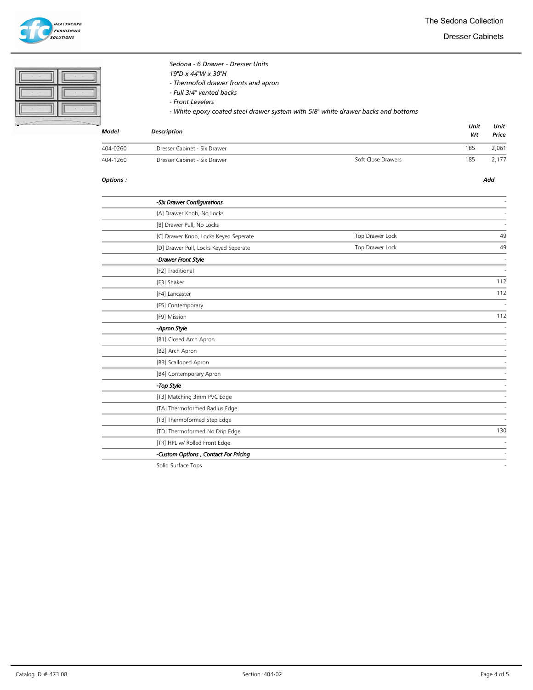

The Sedona Collection

Dresser Cabinets

| Model | <b>Description</b>                                                                | Wt   | Price |
|-------|-----------------------------------------------------------------------------------|------|-------|
|       |                                                                                   | Unit | Unit  |
|       | - White epoxy coated steel drawer system with 5/8" white drawer backs and bottoms |      |       |
|       | - Front Levelers                                                                  |      |       |
|       | - Full 3/4" vented backs                                                          |      |       |
|       | - Thermofoil drawer fronts and apron                                              |      |       |
|       | 19"D x 44"W x 30"H                                                                |      |       |
|       | Sedona - 6 Drawer - Dresser Units                                                 |      |       |

|          |                              |                    | ---- | ------- |
|----------|------------------------------|--------------------|------|---------|
| 404-0260 | Dresser Cabinet - Six Drawer |                    | 185  | 2,061   |
| 404-1260 | Dresser Cabinet - Six Drawer | Soft Close Drawers | 185  | 2,177   |

### Options : Add

| -Six Drawer Configurations            |                 |     |
|---------------------------------------|-----------------|-----|
| [A] Drawer Knob, No Locks             |                 |     |
| [B] Drawer Pull, No Locks             |                 |     |
| [C] Drawer Knob, Locks Keyed Seperate | Top Drawer Lock | 49  |
| [D] Drawer Pull, Locks Keyed Seperate | Top Drawer Lock | 49  |
| -Drawer Front Style                   |                 |     |
| [F2] Traditional                      |                 |     |
| [F3] Shaker                           |                 | 112 |
| [F4] Lancaster                        |                 | 112 |
| [F5] Contemporary                     |                 |     |
| [F9] Mission                          |                 | 112 |
| -Apron Style                          |                 |     |
| [B1] Closed Arch Apron                |                 |     |
| [B2] Arch Apron                       |                 |     |
| [B3] Scalloped Apron                  |                 |     |
| [B4] Contemporary Apron               |                 |     |
| -Top Style                            |                 |     |
| [T3] Matching 3mm PVC Edge            |                 |     |
| [TA] Thermoformed Radius Edge         |                 |     |
| [TB] Thermoformed Step Edge           |                 |     |
| [TD] Thermoformed No Drip Edge        |                 | 130 |
| [TR] HPL w/ Rolled Front Edge         |                 |     |
| -Custom Options, Contact For Pricing  |                 |     |
| Colid Surface Tops                    |                 |     |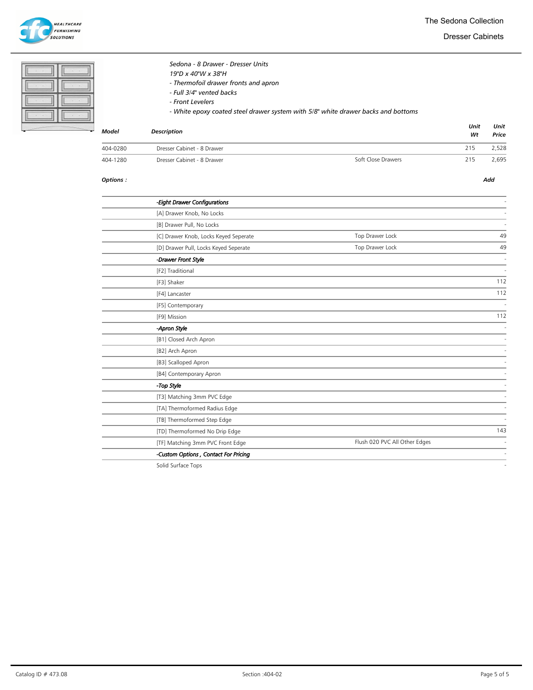

The Sedona Collection

Dresser Cabinets

|          | Sedona - 8 Drawer - Dresser Units<br>19"D x 40"W x 38"H<br>- Thermofoil drawer fronts and apron<br>- Full 3/4" vented backs<br>- Front Levelers<br>- White epoxy coated steel drawer system with 5/8" white drawer backs and bottoms |            |               |
|----------|--------------------------------------------------------------------------------------------------------------------------------------------------------------------------------------------------------------------------------------|------------|---------------|
| Model    | <b>Description</b>                                                                                                                                                                                                                   | Unit<br>Wt | Unit<br>Price |
| 404-0280 | Dresser Cabinet - 8 Drawer                                                                                                                                                                                                           | 215        | 2.528         |

### Options : Add

| -Eight Drawer Configurations          |                               |     |
|---------------------------------------|-------------------------------|-----|
| [A] Drawer Knob, No Locks             |                               |     |
| [B] Drawer Pull, No Locks             |                               |     |
| [C] Drawer Knob, Locks Keyed Seperate | Top Drawer Lock               | 49  |
| [D] Drawer Pull, Locks Keyed Seperate | Top Drawer Lock               | 49  |
| -Drawer Front Style                   |                               |     |
| [F2] Traditional                      |                               |     |
| [F3] Shaker                           |                               | 112 |
| [F4] Lancaster                        |                               | 112 |
| [F5] Contemporary                     |                               |     |
| [F9] Mission                          |                               | 112 |
| -Apron Style                          |                               |     |
| [B1] Closed Arch Apron                |                               |     |
| [B2] Arch Apron                       |                               |     |
| [B3] Scalloped Apron                  |                               |     |
| [B4] Contemporary Apron               |                               |     |
| -Top Style                            |                               |     |
| [T3] Matching 3mm PVC Edge            |                               |     |
| [TA] Thermoformed Radius Edge         |                               |     |
| [TB] Thermoformed Step Edge           |                               |     |
| [TD] Thermoformed No Drip Edge        |                               | 143 |
| [TF] Matching 3mm PVC Front Edge      | Flush 020 PVC All Other Edges |     |
| -Custom Options, Contact For Pricing  |                               |     |
|                                       |                               |     |

ersett and the United States of the Superior Cabinet - 8 Drawer Soft Close Drawers 215 2,695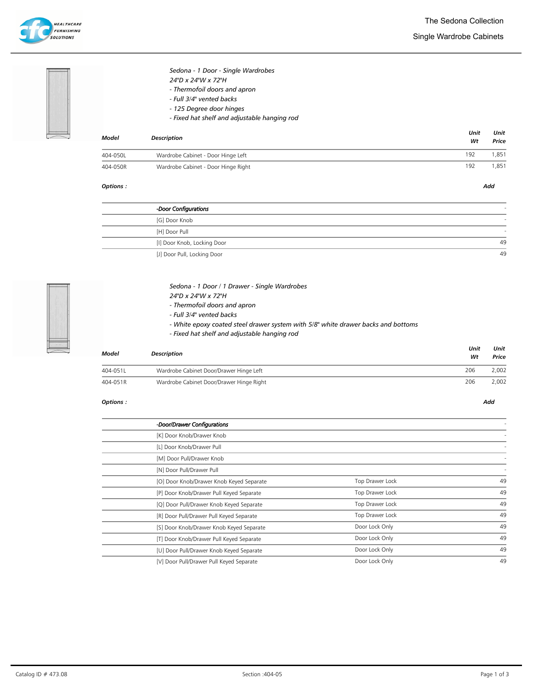Single Wardrobe Cabinets





### Sedona - 1 Door - Single Wardrobes 24"D x 24"W x 72"H

- Thermofoil doors and apron
- Full 3/4" vented backs
- 125 Degree door hinges
- Fixed hat shelf and adjustable hanging rod

| <b>Model</b> | <b>Description</b>                  | Unit<br>Wt | Unit<br>Price |
|--------------|-------------------------------------|------------|---------------|
| 404-050L     | Wardrobe Cabinet - Door Hinge Left  | 192        | .851          |
| 404-050R     | Wardrobe Cabinet - Door Hinge Right | 192        | ,851          |

### Options : Add

| -Door Configurations        |    |
|-----------------------------|----|
| [G] Door Knob               |    |
| [H] Door Pull               |    |
| [I] Door Knob, Locking Door | 49 |
| [J] Door Pull, Locking Door | 49 |



## Sedona - 1 Door / 1 Drawer - Single Wardrobes

- 24"D x 24"W x 72"H
- Thermofoil doors and apron
- Full 3/4" vented backs
- White epoxy coated steel drawer system with 5/8" white drawer backs and bottoms
- Fixed hat shelf and adjustable hanging rod

| Model    | <b>Description</b>                       | Unit<br>Wt | Unit<br>Price |
|----------|------------------------------------------|------------|---------------|
| 404-051L | Wardrobe Cabinet Door/Drawer Hinge Left  | 206        | 2.002         |
| 404-051R | Wardrobe Cabinet Door/Drawer Hinge Right | 206        | 2,002         |

| -Door/Drawer Configurations              |                 |    |
|------------------------------------------|-----------------|----|
| [K] Door Knob/Drawer Knob                |                 |    |
| [L] Door Knob/Drawer Pull                |                 |    |
| [M] Door Pull/Drawer Knob                |                 |    |
| [N] Door Pull/Drawer Pull                |                 |    |
| [O] Door Knob/Drawer Knob Keyed Separate | Top Drawer Lock | 49 |
| [P] Door Knob/Drawer Pull Keyed Separate | Top Drawer Lock | 49 |
| [Q] Door Pull/Drawer Knob Keyed Separate | Top Drawer Lock | 49 |
| [R] Door Pull/Drawer Pull Keyed Separate | Top Drawer Lock | 49 |
| [S] Door Knob/Drawer Knob Keyed Separate | Door Lock Only  | 49 |
| [T] Door Knob/Drawer Pull Keyed Separate | Door Lock Only  | 49 |
| [U] Door Pull/Drawer Knob Keyed Separate | Door Lock Only  | 49 |
| [V] Door Pull/Drawer Pull Keyed Separate | Door Lock Only  | 49 |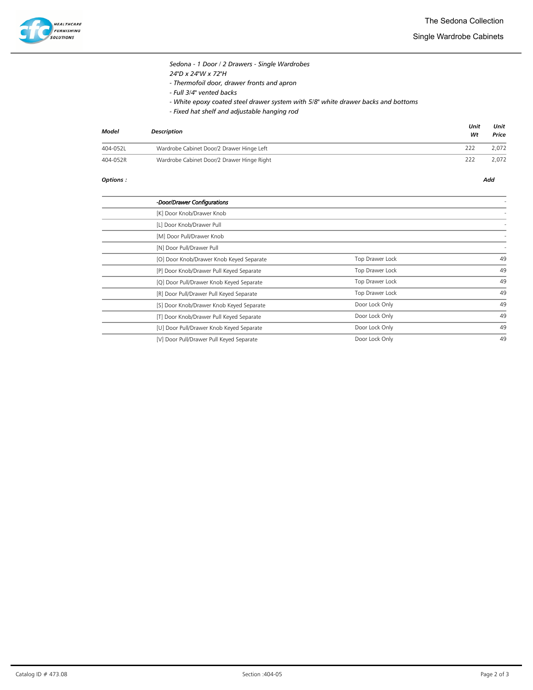

Single Wardrobe Cabinets

| Sedona - 1 Door / 2 Drawers - Single Wardrobes |
|------------------------------------------------|
| 24"D x 24"W x 72"H                             |
| - Thermofoil door, drawer fronts and apron     |

- Full 3/4" vented backs
- White epoxy coated steel drawer system with 5/8" white drawer backs and bottoms
- Fixed hat shelf and adjustable hanging rod

| Model    | <b>Description</b>                         | Unit<br>Wt | Unit<br>Price |
|----------|--------------------------------------------|------------|---------------|
| 404-052L | Wardrobe Cabinet Door/2 Drawer Hinge Left  | 222        | 2.072         |
| 404-052R | Wardrobe Cabinet Door/2 Drawer Hinge Right | 222        | 2.072         |

| -Door/Drawer Configurations              |                 |    |
|------------------------------------------|-----------------|----|
| [K] Door Knob/Drawer Knob                |                 |    |
| [L] Door Knob/Drawer Pull                |                 |    |
| [M] Door Pull/Drawer Knob                |                 |    |
| [N] Door Pull/Drawer Pull                |                 |    |
| [O] Door Knob/Drawer Knob Keyed Separate | Top Drawer Lock | 49 |
| [P] Door Knob/Drawer Pull Keyed Separate | Top Drawer Lock | 49 |
| [Q] Door Pull/Drawer Knob Keyed Separate | Top Drawer Lock | 49 |
| [R] Door Pull/Drawer Pull Keyed Separate | Top Drawer Lock | 49 |
| [S] Door Knob/Drawer Knob Keyed Separate | Door Lock Only  | 49 |
| [T] Door Knob/Drawer Pull Keyed Separate | Door Lock Only  | 49 |
| [U] Door Pull/Drawer Knob Keyed Separate | Door Lock Only  | 49 |
| [V] Door Pull/Drawer Pull Keyed Separate | Door Lock Only  | 49 |
|                                          |                 |    |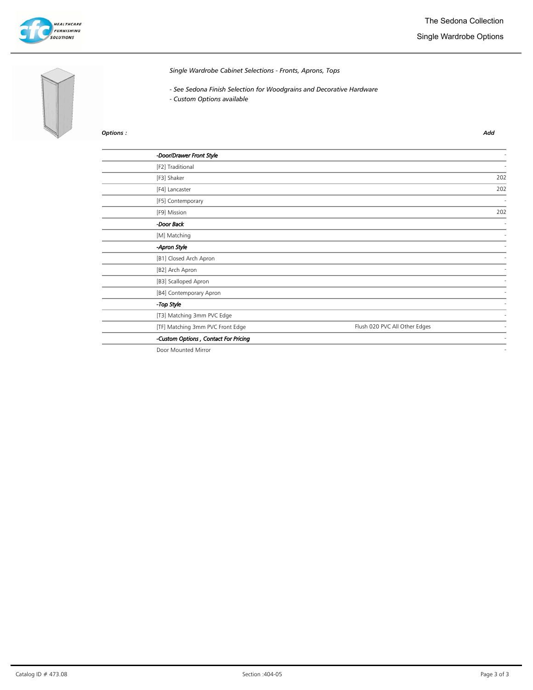

# Single Wardrobe Options



Single Wardrobe Cabinet Selections - Fronts, Aprons, Tops

- See Sedona Finish Selection for Woodgrains and Decorative Hardware
- Custom Options available

### Options : Add

| -Door/Drawer Front Style             |                               |     |
|--------------------------------------|-------------------------------|-----|
| [F2] Traditional                     |                               |     |
| [F3] Shaker                          |                               | 202 |
| [F4] Lancaster                       |                               | 202 |
| [F5] Contemporary                    |                               |     |
| [F9] Mission                         |                               | 202 |
| -Door Back                           |                               |     |
| [M] Matching                         |                               |     |
| -Apron Style                         |                               |     |
| [B1] Closed Arch Apron               |                               |     |
| [B2] Arch Apron                      |                               |     |
| [B3] Scalloped Apron                 |                               |     |
| [B4] Contemporary Apron              |                               |     |
| -Top Style                           |                               |     |
| [T3] Matching 3mm PVC Edge           |                               |     |
| [TF] Matching 3mm PVC Front Edge     | Flush 020 PVC All Other Edges |     |
| -Custom Options, Contact For Pricing |                               |     |
|                                      |                               |     |

Door Mounted Mirror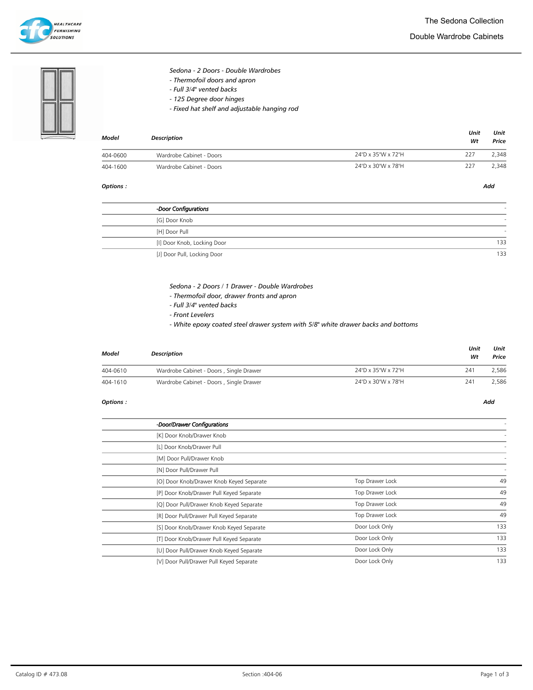

### Double Wardrobe Cabinets

Sedona - 2 Doors - Double Wardrobes

- Thermofoil doors and apron
- Full 3/4" vented backs
- 125 Degree door hinges
- Fixed hat shelf and adjustable hanging rod

| Model    | Description              |                    | Unit<br>Wt | Unit<br>Price |
|----------|--------------------------|--------------------|------------|---------------|
| 404-0600 | Wardrobe Cabinet - Doors | 24"D x 35"W x 72"H | 227        | 2.348         |
| 404-1600 | Wardrobe Cabinet - Doors | 24"D x 30"W x 78"H | 227        | 2,348         |

### Options : Add

| -Door Configurations        |     |
|-----------------------------|-----|
| [G] Door Knob               |     |
| [H] Door Pull               |     |
| [I] Door Knob, Locking Door | 133 |
| [J] Door Pull, Locking Door | 133 |

## Sedona - 2 Doors / 1 Drawer - Double Wardrobes

- Thermofoil door, drawer fronts and apron
- Full 3/4" vented backs
- Front Levelers
- White epoxy coated steel drawer system with 5/8" white drawer backs and bottoms

| Model    | Description                             |                    | Unit<br>Wt | Unit<br>Price |
|----------|-----------------------------------------|--------------------|------------|---------------|
| 404-0610 | Wardrobe Cabinet - Doors, Single Drawer | 24"D x 35"W x 72"H | 241        | 2.586         |
| 404-1610 | Wardrobe Cabinet - Doors, Single Drawer | 24"D x 30"W x 78"H | 241        | 2.586         |

| -Door/Drawer Configurations              |                 |     |
|------------------------------------------|-----------------|-----|
| [K] Door Knob/Drawer Knob                |                 |     |
| [L] Door Knob/Drawer Pull                |                 |     |
| [M] Door Pull/Drawer Knob                |                 |     |
| [N] Door Pull/Drawer Pull                |                 |     |
| [O] Door Knob/Drawer Knob Keyed Separate | Top Drawer Lock | 49  |
| [P] Door Knob/Drawer Pull Keyed Separate | Top Drawer Lock | 49  |
| [Q] Door Pull/Drawer Knob Keyed Separate | Top Drawer Lock | 49  |
| [R] Door Pull/Drawer Pull Keyed Separate | Top Drawer Lock | 49  |
| [S] Door Knob/Drawer Knob Keyed Separate | Door Lock Only  | 133 |
| [T] Door Knob/Drawer Pull Keyed Separate | Door Lock Only  | 133 |
| [U] Door Pull/Drawer Knob Keyed Separate | Door Lock Only  | 133 |
| [V] Door Pull/Drawer Pull Keyed Separate | Door Lock Only  | 133 |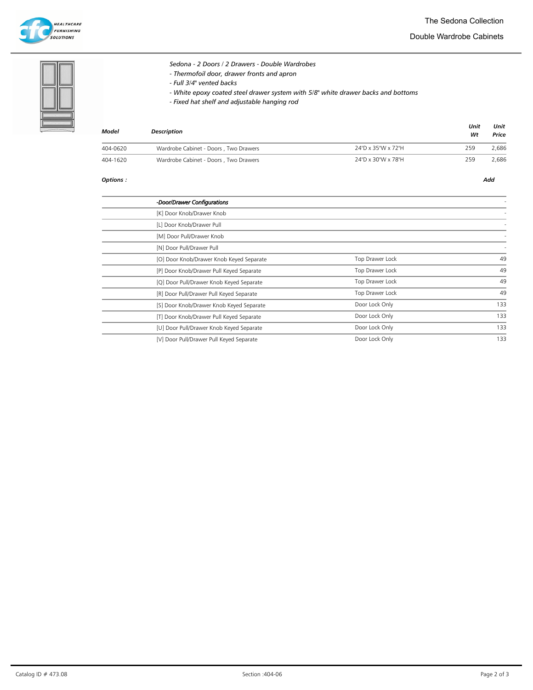

### Double Wardrobe Cabinets

Sedona - 2 Doors / 2 Drawers - Double Wardrobes - Thermofoil door, drawer fronts and apron

- Full 3/4" vented backs
- White epoxy coated steel drawer system with 5/8" white drawer backs and bottoms
- Fixed hat shelf and adjustable hanging rod

| Model    | <b>Description</b>                    |                    | Unit<br>Wt | Unit<br>Price |
|----------|---------------------------------------|--------------------|------------|---------------|
| 404-0620 | Wardrobe Cabinet - Doors, Two Drawers | 24"D x 35"W x 72"H | 259        | 2.686         |
| 404-1620 | Wardrobe Cabinet - Doors, Two Drawers | 24"D x 30"W x 78"H | 259        | 2.686         |

| -Door/Drawer Configurations              |                 |     |
|------------------------------------------|-----------------|-----|
| [K] Door Knob/Drawer Knob                |                 |     |
| [L] Door Knob/Drawer Pull                |                 |     |
| [M] Door Pull/Drawer Knob                |                 |     |
| [N] Door Pull/Drawer Pull                |                 |     |
| [O] Door Knob/Drawer Knob Keyed Separate | Top Drawer Lock | 49  |
| [P] Door Knob/Drawer Pull Keyed Separate | Top Drawer Lock | 49  |
| [Q] Door Pull/Drawer Knob Keyed Separate | Top Drawer Lock | 49  |
| [R] Door Pull/Drawer Pull Keyed Separate | Top Drawer Lock | 49  |
| [S] Door Knob/Drawer Knob Keyed Separate | Door Lock Only  | 133 |
| [T] Door Knob/Drawer Pull Keyed Separate | Door Lock Only  | 133 |
| [U] Door Pull/Drawer Knob Keyed Separate | Door Lock Only  | 133 |
| [V] Door Pull/Drawer Pull Keyed Separate | Door Lock Only  | 133 |
|                                          |                 |     |